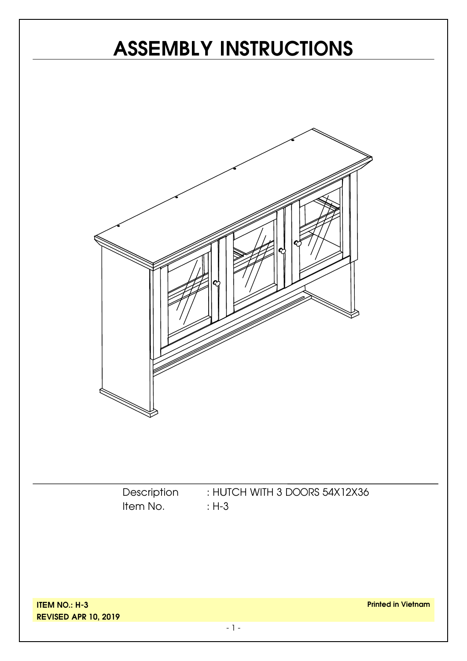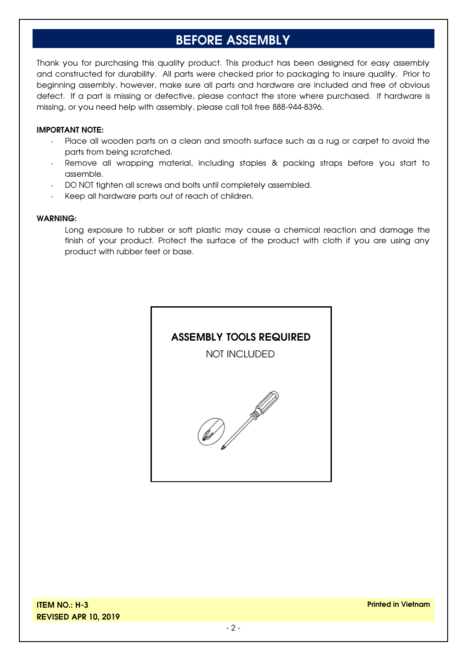### **BEFORE ASSEMBLY**

Thank you for purchasing this quality product. This product has been designed for easy assembly and constructed for durability. All parts were checked prior to packaging to insure quality. Prior to beginning assembly, however, make sure all parts and hardware are included and free of obvious defect. If a part is missing or defective, please contact the store where purchased. If hardware is missing, or you need help with assembly, please call toll free 888-944-8396.

#### **IMPORTANT NOTE:**

- Place all wooden parts on a clean and smooth surface such as a rug or carpet to avoid the parts from being scratched.
- Remove all wrapping material, including staples & packing straps before you start to assemble.
- DO NOT tighten all screws and bolts until completely assembled.
- Keep all hardware parts out of reach of children.

#### **WARNING:**

Long exposure to rubber or soft plastic may cause a chemical reaction and damage the finish of your product. Protect the surface of the product with cloth if you are using any product with rubber feet or base.

#### **ASSEMBLY TOOLS REQUIRED**

NOT INCLUDED



**ITEM NO.: H-3 REVISED APR 10, 2019**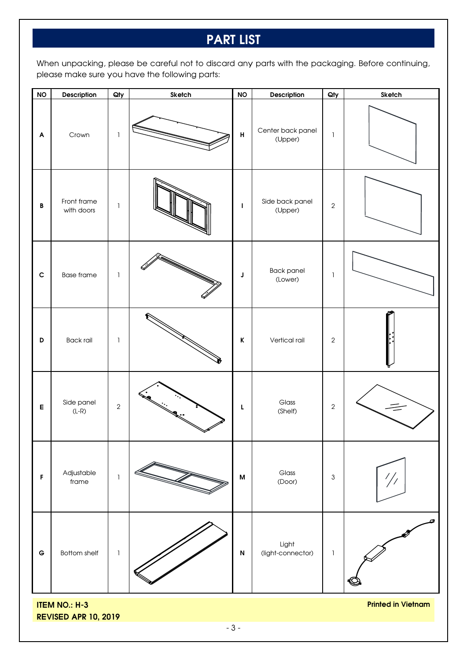## **PART LIST**

When unpacking, please be careful not to discard any parts with the packaging. Before continuing, please make sure you have the following parts:

| <b>NO</b>                                                                        | Description               | Qty            | <b>Sketch</b> | <b>NO</b>                 | Description                  | Qty            | Sketch        |  |
|----------------------------------------------------------------------------------|---------------------------|----------------|---------------|---------------------------|------------------------------|----------------|---------------|--|
| A                                                                                | Crown                     | $\mathbf{I}$   |               | $\pmb{\mathsf{H}}$        | Center back panel<br>(Upper) | L              |               |  |
| B                                                                                | Front frame<br>with doors | $\mathbf{1}$   |               | I                         | Side back panel<br>(Upper)   | $\sqrt{2}$     |               |  |
| $\mathbf c$                                                                      | <b>Base frame</b>         | 1              |               | J                         | <b>Back panel</b><br>(Lower) | 1              |               |  |
| D                                                                                | <b>Back rail</b>          | 1              |               | $\mathsf K$               | Vertical rail                | $\overline{2}$ |               |  |
| $\mathsf E$                                                                      | Side panel<br>$(L-R)$     | $\overline{2}$ |               | L                         | Glass<br>(Shelf)             | $\overline{c}$ |               |  |
| F                                                                                | Adjustable<br>frame       | $\mathbbm{1}$  |               | $\boldsymbol{\mathsf{M}}$ | Glass<br>(Door)              | $\mathbf{3}$   | $\frac{1}{1}$ |  |
| $\mathsf G$                                                                      | Bottom shelf              | $\mathbf{I}$   |               | $\boldsymbol{\mathsf{N}}$ | Light<br>(light-connector)   | $\mathbf{I}$   |               |  |
| <b>Printed in Vietnam</b><br><b>ITEM NO.: H-3</b><br><b>REVISED APR 10, 2019</b> |                           |                |               |                           |                              |                |               |  |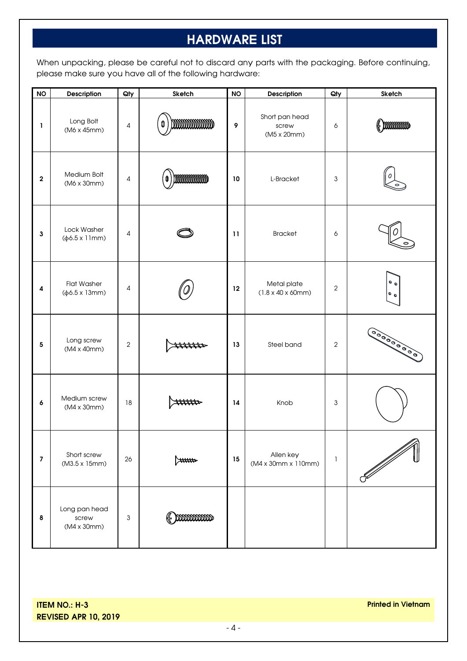## **HARDWARE LIST**

When unpacking, please be careful not to discard any parts with the packaging. Before continuing, please make sure you have all of the following hardware:

| <b>NO</b>        | Description                                            | Qty            | Sketch         | <b>NO</b> | Description                                          | Qty            | Sketch                                                                  |
|------------------|--------------------------------------------------------|----------------|----------------|-----------|------------------------------------------------------|----------------|-------------------------------------------------------------------------|
| 1                | Long Bolt<br>(M6 x 45mm)                               | 4              | mmmmmm<br>0    | 9         | Short pan head<br>screw<br>(M5 x 20mm)               | 6              | $\left(\!\!\left(\begin{array}{c}\right.\\\right.\\\right.\\\right.\\\$ |
| $\mathbf 2$      | Medium Bolt<br>(M6 x 30mm)                             | 4              | mmmmmm         | 10        | L-Bracket                                            | 3              |                                                                         |
| 3                | Lock Washer<br>$(\phi 6.5 \times 11$ mm)               | 4              |                | 11        | <b>Bracket</b>                                       | 6              |                                                                         |
| $\boldsymbol{4}$ | <b>Flat Washer</b><br>$(\phi 6.5 \times 13 \text{mm})$ | 4              |                | 12        | Metal plate<br>$(1.8 \times 40 \times 60 \text{mm})$ | 2              | $\bullet$<br>$\bullet$                                                  |
| 5                | Long screw<br>(M4 x 40mm)                              | $\overline{2}$ |                | 13        | Steel band                                           | $\overline{2}$ | 00000000000                                                             |
| 6                | Medium screw<br>(M4 x 30mm)                            | 18             | mmo            | 14        | Knob                                                 | 3              |                                                                         |
| $\overline{7}$   | Short screw<br>(M3.5 x 15mm)                           | 26             | <del>سسد</del> | 15        | Allen key<br>(M4 x 30mm x 110mm)                     | 1              | $\mathscr{N}$                                                           |
| 8                | Long pan head<br>screw<br>$(M4 \times 30$ mm $)$       | 3              | mmmmm          |           |                                                      |                |                                                                         |

**ITEM NO.: H-3 REVISED APR 10, 2019**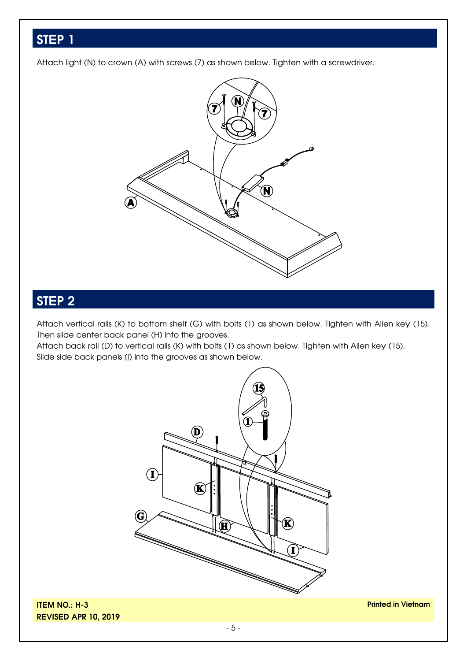Attach light (N) to crown (A) with screws (7) as shown below. Tighten with a screwdriver.



# **STEP 2**

Attach vertical rails (K) to bottom shelf (G) with bolts (1) as shown below. Tighten with Allen key (15). Then slide center back panel (H) into the grooves.

Attach back rail (D) to vertical rails (K) with bolts (1) as shown below. Tighten with Allen key (15). Slide side back panels (I) into the grooves as shown below.



**ITEM NO.: H-3 REVISED APR 10, 2019**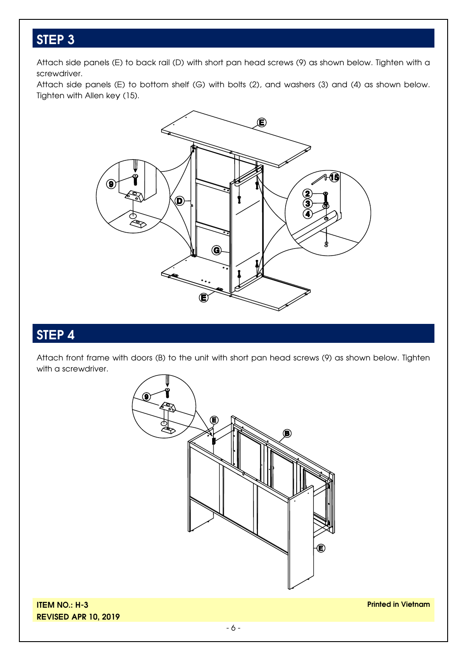Attach side panels (E) to back rail (D) with short pan head screws (9) as shown below. Tighten with a screwdriver.

Attach side panels (E) to bottom shelf (G) with bolts (2), and washers (3) and (4) as shown below. Tighten with Allen key (15).



## **STEP 4**

Attach front frame with doors (B) to the unit with short pan head screws (9) as shown below. Tighten with a screwdriver.



**ITEM NO.: H-3 REVISED APR 10, 2019**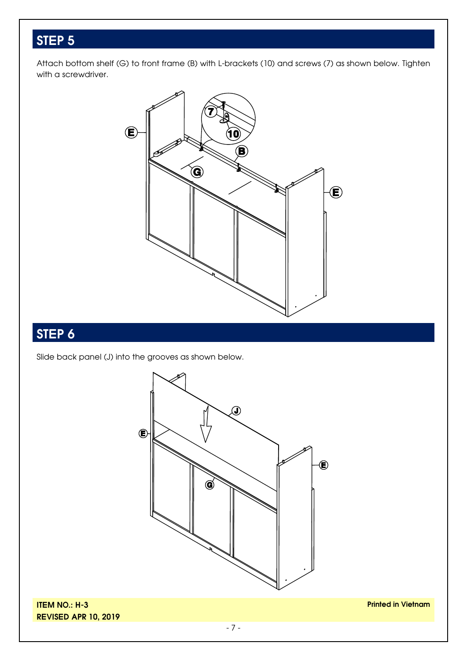Attach bottom shelf (G) to front frame (B) with L-brackets (10) and screws (7) as shown below. Tighten with a screwdriver.



## **STEP 6**

Slide back panel (J) into the grooves as shown below.



**ITEM NO.: H-3 REVISED APR 10, 2019**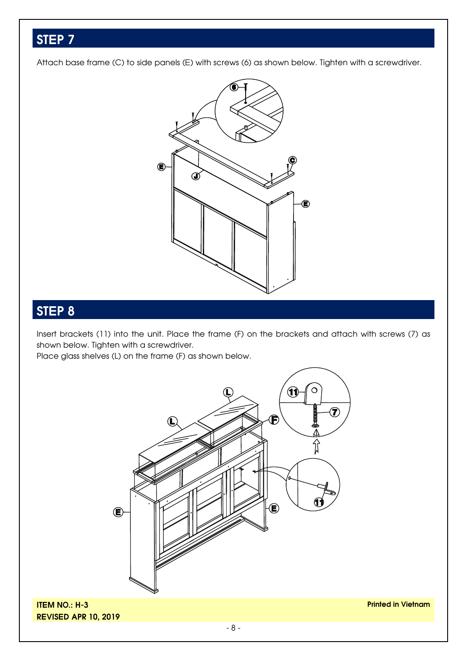Attach base frame (C) to side panels (E) with screws (6) as shown below. Tighten with a screwdriver.



## **STEP 8**

Insert brackets (11) into the unit. Place the frame (F) on the brackets and attach with screws (7) as shown below. Tighten with a screwdriver.

Place glass shelves (L) on the frame (F) as shown below.



**ITEM NO.: H-3 REVISED APR 10, 2019**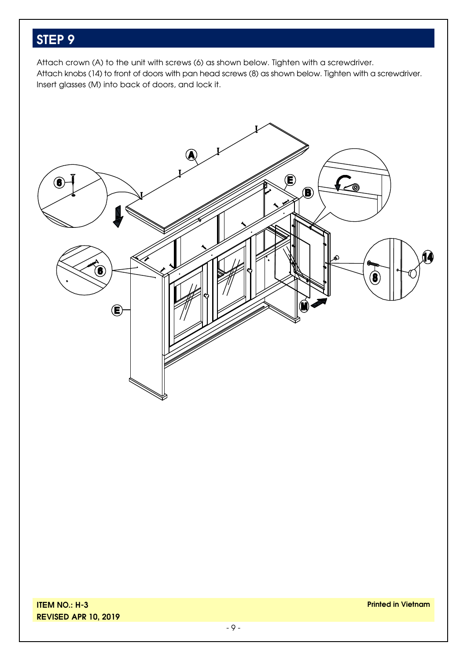Attach crown (A) to the unit with screws (6) as shown below. Tighten with a screwdriver. Attach knobs (14) to front of doors with pan head screws (8) as shown below. Tighten with a screwdriver. Insert glasses (M) into back of doors, and lock it.